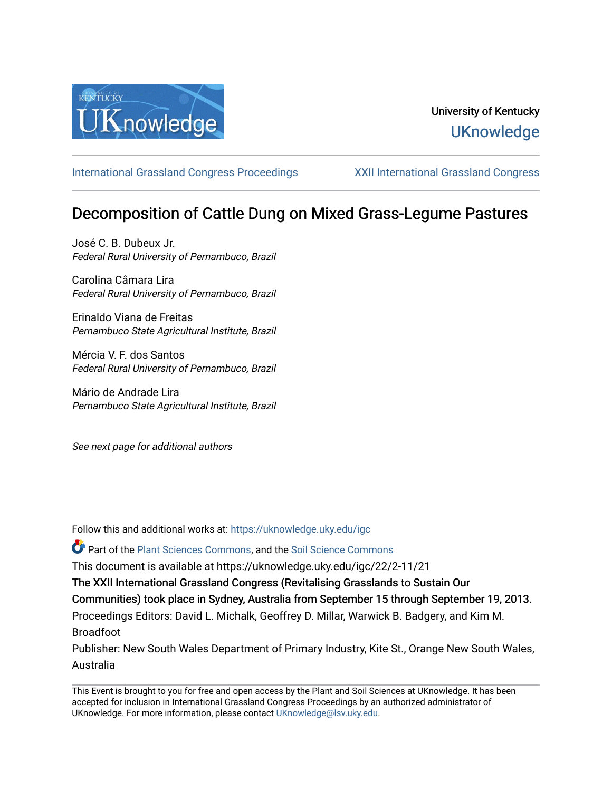

## University of Kentucky **UKnowledge**

[International Grassland Congress Proceedings](https://uknowledge.uky.edu/igc) [XXII International Grassland Congress](https://uknowledge.uky.edu/igc/22) 

# Decomposition of Cattle Dung on Mixed Grass-Legume Pastures

José C. B. Dubeux Jr. Federal Rural University of Pernambuco, Brazil

Carolina Câmara Lira Federal Rural University of Pernambuco, Brazil

Erinaldo Viana de Freitas Pernambuco State Agricultural Institute, Brazil

Mércia V. F. dos Santos Federal Rural University of Pernambuco, Brazil

Mário de Andrade Lira Pernambuco State Agricultural Institute, Brazil

See next page for additional authors

Follow this and additional works at: [https://uknowledge.uky.edu/igc](https://uknowledge.uky.edu/igc?utm_source=uknowledge.uky.edu%2Figc%2F22%2F2-11%2F21&utm_medium=PDF&utm_campaign=PDFCoverPages) 

Part of the [Plant Sciences Commons](http://network.bepress.com/hgg/discipline/102?utm_source=uknowledge.uky.edu%2Figc%2F22%2F2-11%2F21&utm_medium=PDF&utm_campaign=PDFCoverPages), and the [Soil Science Commons](http://network.bepress.com/hgg/discipline/163?utm_source=uknowledge.uky.edu%2Figc%2F22%2F2-11%2F21&utm_medium=PDF&utm_campaign=PDFCoverPages) 

This document is available at https://uknowledge.uky.edu/igc/22/2-11/21

The XXII International Grassland Congress (Revitalising Grasslands to Sustain Our

Communities) took place in Sydney, Australia from September 15 through September 19, 2013.

Proceedings Editors: David L. Michalk, Geoffrey D. Millar, Warwick B. Badgery, and Kim M. Broadfoot

Publisher: New South Wales Department of Primary Industry, Kite St., Orange New South Wales, Australia

This Event is brought to you for free and open access by the Plant and Soil Sciences at UKnowledge. It has been accepted for inclusion in International Grassland Congress Proceedings by an authorized administrator of UKnowledge. For more information, please contact [UKnowledge@lsv.uky.edu](mailto:UKnowledge@lsv.uky.edu).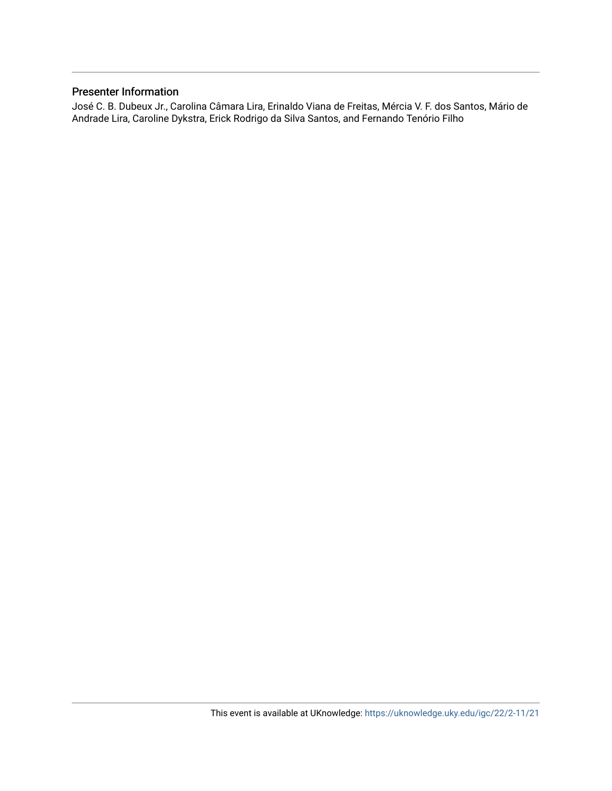#### Presenter Information

José C. B. Dubeux Jr., Carolina Câmara Lira, Erinaldo Viana de Freitas, Mércia V. F. dos Santos, Mário de Andrade Lira, Caroline Dykstra, Erick Rodrigo da Silva Santos, and Fernando Tenório Filho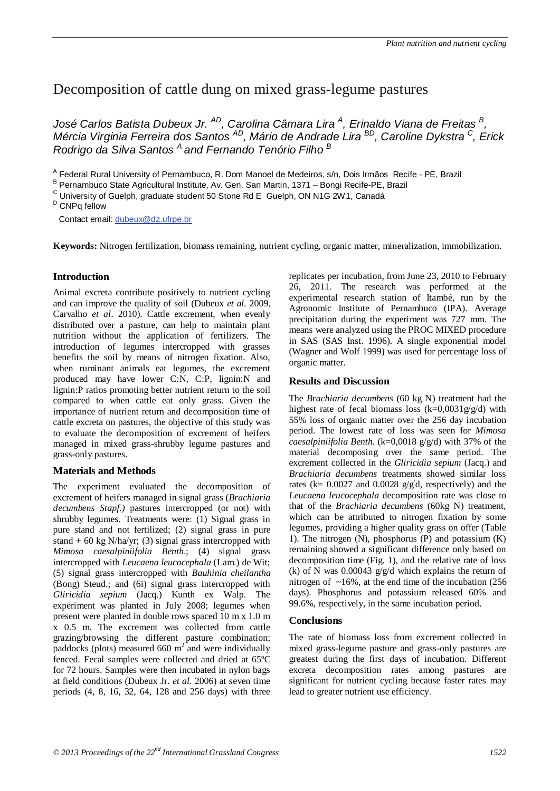### Decomposition of cattle dung on mixed grass-legume pastures

*José Carlos Batista Dubeux Jr. AD, Carolina Câmara Lira A, Erinaldo Viana de Freitas B, Mércia Virginia Ferreira dos Santos AD, Mário de Andrade Lira BD, Caroline Dykstra C, Erick Rodrigo da Silva Santos A and Fernando Tenório Filho B*

<sup>A</sup> Federal Rural University of Pernambuco, R. Dom Manoel de Medeiros, s/n, Dois Irmãos Recife - PE, Brazil B Pernambuco State Agricultural Institute, Av. Gen. San Martin, 1371 – Bongi Recife-PE, Brazil

 $\rm ^c$  University of Guelph, graduate student 50 Stone Rd E Guelph, ON N1G 2W1, Canadá  $\rm ^b$  CNPq fellow

Contact email: dubeux@dz.ufrpe.br

**Keywords:** Nitrogen fertilization, biomass remaining, nutrient cycling, organic matter, mineralization, immobilization.

#### **Introduction**

Animal excreta contribute positively to nutrient cycling and can improve the quality of soil (Dubeux *et al.* 2009, Carvalho *et al*. 2010). Cattle excrement, when evenly distributed over a pasture, can help to maintain plant nutrition without the application of fertilizers. The introduction of legumes intercropped with grasses benefits the soil by means of nitrogen fixation. Also, when ruminant animals eat legumes, the excrement produced may have lower C:N, C:P, lignin:N and lignin:P ratios promoting better nutrient return to the soil compared to when cattle eat only grass. Given the importance of nutrient return and decomposition time of cattle excreta on pastures, the objective of this study was to evaluate the decomposition of excrement of heifers managed in mixed grass-shrubby legume pastures and grass-only pastures.

#### **Materials and Methods**

The experiment evaluated the decomposition of excrement of heifers managed in signal grass (*Brachiaria decumbens Stapf.)* pastures intercropped (or not) with shrubby legumes. Treatments were: (1) Signal grass in pure stand and not fertilized; (2) signal grass in pure stand  $+ 60 \text{ kg } N/ha/\text{yr}$ ; (3) signal grass intercropped with *Mimosa caesalpiniifolia Benth*.; (4) signal grass intercropped with *Leucaena leucocephala* (Lam.) de Wit; (5) signal grass intercropped with *Bauhinia cheilantha* (Bong) Steud.; and (6i) signal grass intercropped with *Gliricidia sepium* (Jacq.) Kunth ex Walp. The experiment was planted in July 2008; legumes when present were planted in double rows spaced 10 m x 1.0 m x 0.5 m. The excrement was collected from cattle grazing/browsing the different pasture combination; paddocks (plots) measured 660  $m^2$  and were individually fenced. Fecal samples were collected and dried at 65ºC for 72 hours. Samples were then incubated in nylon bags at field conditions (Dubeux Jr. *et al.* 2006) at seven time periods (4, 8, 16, 32, 64, 128 and 256 days) with three

replicates per incubation, from June 23, 2010 to February 26, 2011. The research was performed at the experimental research station of Itambé, run by the Agronomic Institute of Pernambuco (IPA). Average precipitation during the experiment was 727 mm. The means were analyzed using the PROC MIXED procedure in SAS (SAS Inst. 1996). A single exponential model (Wagner and Wolf 1999) was used for percentage loss of organic matter.

#### **Results and Discussion**

The *Brachiaria decumbens* (60 kg N) treatment had the highest rate of fecal biomass loss  $(k=0.0031g/g/d)$  with 55% loss of organic matter over the 256 day incubation period. The lowest rate of loss was seen for *Mimosa caesalpiniifolia Benth.* (k=0,0018 g/g/d) with 37% of the material decomposing over the same period. The excrement collected in the *Gliricidia sepium* (Jacq.) and *Brachiaria decumbens* treatments showed similar loss rates ( $k = 0.0027$  and 0.0028  $g/g/d$ , respectively) and the *Leucaena leucocephala* decomposition rate was close to that of the *Brachiaria decumbens* (60kg N) treatment, which can be attributed to nitrogen fixation by some legumes, providing a higher quality grass on offer (Table 1). The nitrogen (N), phosphorus (P) and potassium (K) remaining showed a significant difference only based on decomposition time (Fig. 1), and the relative rate of loss (k) of N was 0.00043 g/g/d which explains the return of nitrogen of  $~16\%$ , at the end time of the incubation (256) days). Phosphorus and potassium released 60% and 99.6%, respectively, in the same incubation period.

#### **Conclusions**

The rate of biomass loss from excrement collected in mixed grass-legume pasture and grass-only pastures are greatest during the first days of incubation. Different excreta decomposition rates among pastures are significant for nutrient cycling because faster rates may lead to greater nutrient use efficiency.